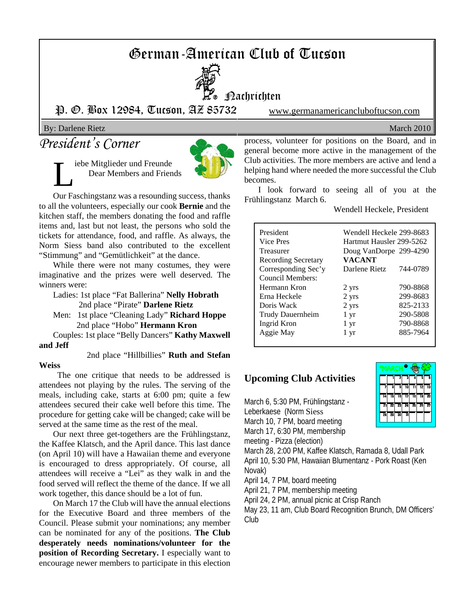# German-American Club of Tucson



P. O. Box 12984, Tucson, AZ 85732 www.germanamericancluboftucson.com

#### By: Darlene Rietz March 2010

## *President's Corner*

iebe Mitglieder und Freunde Dear Members and Friends



Our Faschingstanz was a resounding success, thanks to all the volunteers, especially our cook **Bernie** and the kitchen staff, the members donating the food and raffle items and, last but not least, the persons who sold the tickets for attendance, food, and raffle. As always, the Norm Siess band also contributed to the excellent "Stimmung" and "Gemütlichkeit" at the dance.

While there were not many costumes, they were imaginative and the prizes were well deserved. The winners were:

Ladies: 1st place "Fat Ballerina" **Nelly Hobrath** 2nd place "Pirate" **Darlene Rietz**

Men: 1st place "Cleaning Lady" **Richard Hoppe** 2nd place "Hobo" **Hermann Kron**

Couples: 1st place "Belly Dancers" **Kathy Maxwell and Jeff**

 2nd place "Hillbillies" **Ruth and Stefan Weiss**

 The one critique that needs to be addressed is attendees not playing by the rules. The serving of the meals, including cake, starts at 6:00 pm; quite a few attendees secured their cake well before this time. The procedure for getting cake will be changed; cake will be served at the same time as the rest of the meal.

Our next three get-togethers are the Frühlingstanz, the Kaffee Klatsch, and the April dance. This last dance (on April 10) will have a Hawaiian theme and everyone is encouraged to dress appropriately. Of course, all attendees will receive a "Lei" as they walk in and the food served will reflect the theme of the dance. If we all work together, this dance should be a lot of fun.

On March 17 the Club will have the annual elections for the Executive Board and three members of the Council. Please submit your nominations; any member can be nominated for any of the positions. **The Club desperately needs nominations/volunteer for the position of Recording Secretary.** I especially want to encourage newer members to participate in this election

process, volunteer for positions on the Board, and in general become more active in the management of the Club activities. The more members are active and lend a helping hand where needed the more successful the Club becomes.

I look forward to seeing all of you at the Frühlingstanz March 6.

Wendell Heckele, President

| President                  | Wendell Heckele 299-8683 |          |  |
|----------------------------|--------------------------|----------|--|
| Vice Pres                  | Hartmut Hausler 299-5262 |          |  |
| Treasurer                  | Doug VanDorpe 299-4290   |          |  |
| <b>Recording Secretary</b> | <b>VACANT</b>            |          |  |
| Corresponding Sec'y        | Darlene Rietz            | 744-0789 |  |
| Council Members:           |                          |          |  |
| Hermann Kron               | 2 yrs                    | 790-8868 |  |
| Erna Heckele               | 2 yrs                    | 299-8683 |  |
| Doris Wack                 | 2 yrs                    | 825-2133 |  |
| Trudy Dauernheim           | 1 yr                     | 290-5808 |  |
| Ingrid Kron                | 1 yr                     | 790-8868 |  |
| Aggie May                  | 1 yr                     | 885-7964 |  |
|                            |                          |          |  |

#### **Upcoming Club Activities**

March 6, 5:30 PM, Frühlingstanz - Leberkaese (Norm Siess March 10, 7 PM, board meeting March 17, 6:30 PM, membership

meeting - Pizza (election)

March 28, 2:00 PM, Kaffee Klatsch, Ramada 8, Udall Park April 10, 5:30 PM, Hawaiian Blumentanz - Pork Roast (Ken Novak)

April 14, 7 PM, board meeting

April 21, 7 PM, membership meeting

April 24, 2 PM, annual picnic at Crisp Ranch

May 23, 11 am, Club Board Recognition Brunch, DM Officers' Club

| MAR |    |    |     |    |    |    |
|-----|----|----|-----|----|----|----|
|     |    | ż  | 3   |    |    | Ğ  |
|     | 3  | ā  | īō  |    | 12 | 13 |
| 14  | 15 | 16 | 17  | 18 | 19 | 회  |
| 21  | 22 | 23 | -24 | 귕  | 26 | 27 |
| 28  | 79 | 30 | 31  |    |    |    |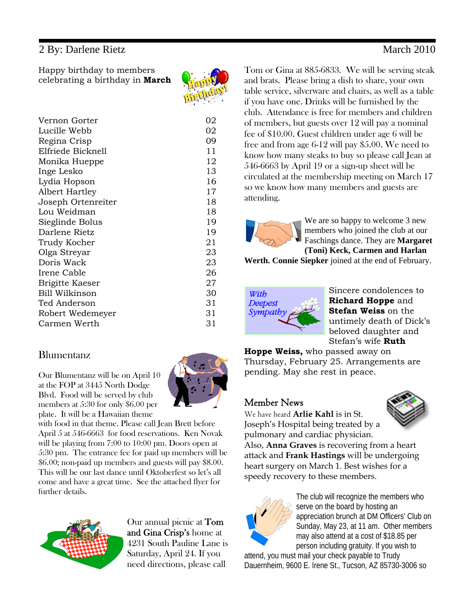### 2 By: Darlene Rietz March 2010

Happy birthday to members celebrating a birthday in **March**

| Vernon Gorter      | 02 |
|--------------------|----|
| Lucille Webb       | 02 |
| Regina Crisp       | 09 |
| Elfriede Bicknell  | 11 |
| Monika Hueppe      | 12 |
| Inge Lesko         | 13 |
| Lydia Hopson       | 16 |
| Albert Hartley     | 17 |
| Joseph Ortenreiter | 18 |
| Lou Weidman        | 18 |
| Sieglinde Bolus    | 19 |
| Darlene Rietz      | 19 |
| Trudy Kocher       | 21 |
| Olga Streyar       | 23 |
| Doris Wack         | 23 |
| Irene Cable        | 26 |
| Brigitte Kaeser    | 27 |
| Bill Wilkinson     | 30 |
| Ted Anderson       | 31 |
| Robert Wedemeyer   | 31 |
| Carmen Werth       | 31 |

### Blumentanz

Our Blumentanz will be on April 10 at the FOP at 3445 North Dodge Blvd. Food will be served by club members at 5:30 for only \$6.00 per plate. It will be a Hawaiian theme



with food in that theme. Please call Jean Brett before April 5 at 546-6663 for food reservations. Ken Novak will be playing from 7:00 to 10:00 pm. Doors open at 5:30 pm. The entrance fee for paid up members will be \$6.00; non-paid up members and guests will pay \$8.00. This will be our last dance until Oktoberfest so let's all come and have a great time. See the attached flyer for further details.



Our annual picnic at Tom and Gina Crisp's home at 4231 South Pauline Lane is Saturday, April 24. If you need directions, please call

Tom or Gina at 885-6833. We will be serving steak and brats. Please bring a dish to share, your own table service, silverware and chairs, as well as a table if you have one. Drinks will be furnished by the club. Attendance is free for members and children of members, but guests over 12 will pay a nominal fee of \$10.00. Guest children under age 6 will be free and from age 6-12 will pay \$5.00. We need to know how many steaks to buy so please call Jean at 546-6663 by April 19 or a sign-up sheet will be circulated at the membership meeting on March 17 so we know how many members and guests are attending.



We are so happy to welcome 3 new members who joined the club at our Faschings dance. They are **Margaret (Toni) Keck, Carmen and Harlan**

**Werth. Connie Siepker** joined at the end of February.



Sincere condolences to **Richard Hoppe** and **Stefan Weiss** on the untimely death of Dick's beloved daughter and Stefan's wife **Ruth**

**Hoppe Weiss,** who passed away on Thursday, February 25. Arrangements are pending. May she rest in peace.

### Member News



We have heard **Arlie Kahl** is in St. Joseph's Hospital being treated by a pulmonary and cardiac physician.

Also, **Anna Graves** is recovering from a heart attack and **Frank Hastings** will be undergoing heart surgery on March 1. Best wishes for a speedy recovery to these members.



The club will recognize the members who serve on the board by hosting an appreciation brunch at DM Officers' Club on Sunday, May 23, at 11 am. Other members may also attend at a cost of \$18.85 per person including gratuity. If you wish to

attend, you must mail your check payable to Trudy Dauernheim, 9600 E. Irene St., Tucson, AZ 85730-3006 so